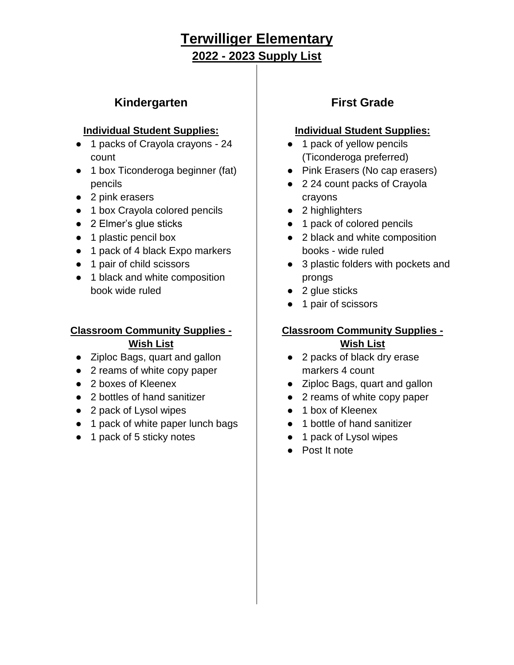## **Kindergarten**

#### **Individual Student Supplies:**

- 1 packs of Crayola crayons 24 count
- 1 box Ticonderoga beginner (fat) pencils
- 2 pink erasers
- 1 box Crayola colored pencils
- 2 Elmer's glue sticks
- 1 plastic pencil box
- 1 pack of 4 black Expo markers
- 1 pair of child scissors
- 1 black and white composition book wide ruled

#### **Classroom Community Supplies -**

#### **Wish List**

- Ziploc Bags, quart and gallon
- 2 reams of white copy paper
- 2 boxes of Kleenex
- 2 bottles of hand sanitizer
- 2 pack of Lysol wipes
- 1 pack of white paper lunch bags
- 1 pack of 5 sticky notes

## **First Grade**

#### **Individual Student Supplies:**

- 1 pack of yellow pencils (Ticonderoga preferred)
- Pink Erasers (No cap erasers)
- 2 24 count packs of Crayola crayons
- 2 highlighters
- 1 pack of colored pencils
- 2 black and white composition books - wide ruled
- 3 plastic folders with pockets and prongs
- 2 glue sticks
- 1 pair of scissors

### **Classroom Community Supplies -**

#### **Wish List**

- 2 packs of black dry erase markers 4 count
- Ziploc Bags, quart and gallon
- 2 reams of white copy paper
- 1 box of Kleenex
- 1 bottle of hand sanitizer
- 1 pack of Lysol wipes
- Post It note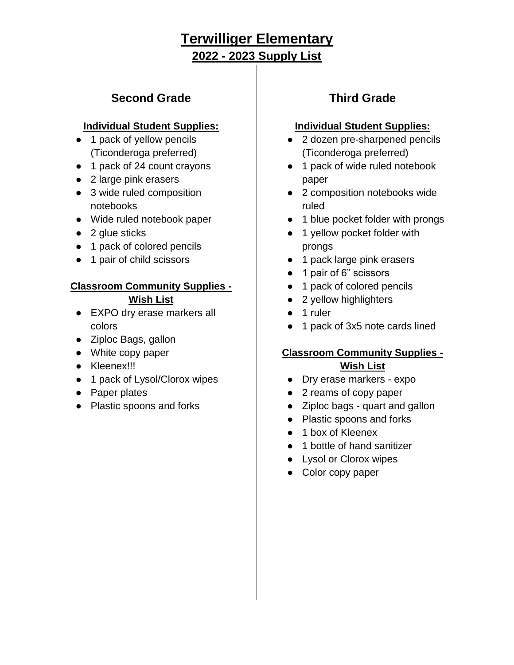## **Second Grade**

#### **Individual Student Supplies:**

- 1 pack of yellow pencils (Ticonderoga preferred)
- 1 pack of 24 count crayons
- 2 large pink erasers
- 3 wide ruled composition notebooks
- Wide ruled notebook paper
- $\bullet$  2 glue sticks
- 1 pack of colored pencils
- 1 pair of child scissors

## **Classroom Community Supplies -**

#### **Wish List**

- EXPO dry erase markers all colors
- Ziploc Bags, gallon
- White copy paper
- Kleenex!!!
- 1 pack of Lysol/Clorox wipes
- Paper plates
- Plastic spoons and forks

# **Third Grade**

### **Individual Student Supplies:**

- 2 dozen pre-sharpened pencils (Ticonderoga preferred)
- 1 pack of wide ruled notebook paper
- 2 composition notebooks wide ruled
- 1 blue pocket folder with prongs
- 1 yellow pocket folder with prongs
- 1 pack large pink erasers
- 1 pair of 6" scissors
- 1 pack of colored pencils
- 2 yellow highlighters
- 1 ruler
- 1 pack of 3x5 note cards lined

### **Classroom Community Supplies - Wish List**

- Dry erase markers expo
- 2 reams of copy paper
- Ziploc bags quart and gallon
- Plastic spoons and forks
- 1 box of Kleenex
- 1 bottle of hand sanitizer
- Lysol or Clorox wipes
- Color copy paper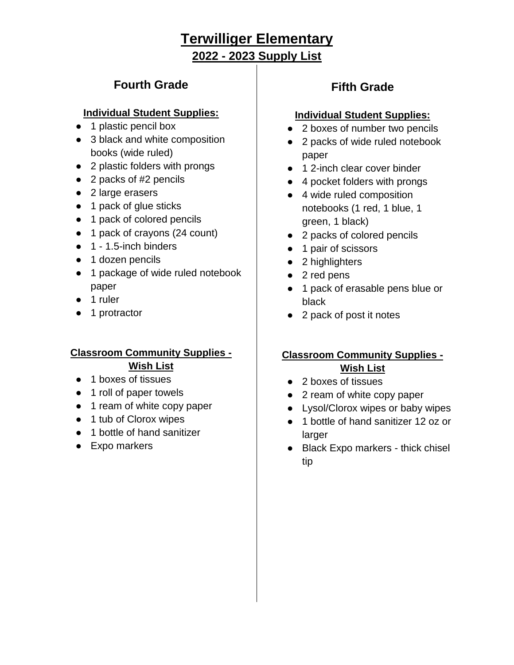## **Fourth Grade**

#### **Individual Student Supplies:**

- 1 plastic pencil box
- 3 black and white composition books (wide ruled)
- 2 plastic folders with prongs
- 2 packs of #2 pencils
- 2 large erasers
- 1 pack of glue sticks
- 1 pack of colored pencils
- 1 pack of crayons (24 count)
- 1 1.5-inch binders
- 1 dozen pencils
- 1 package of wide ruled notebook paper
- 1 ruler
- 1 protractor

### **Classroom Community Supplies - Wish List**

- 1 boxes of tissues
- 1 roll of paper towels
- 1 ream of white copy paper
- 1 tub of Clorox wipes
- 1 bottle of hand sanitizer
- Expo markers

# **Fifth Grade**

#### **Individual Student Supplies:**

- 2 boxes of number two pencils
- 2 packs of wide ruled notebook paper
- 1 2-inch clear cover binder
- 4 pocket folders with prongs
- 4 wide ruled composition notebooks (1 red, 1 blue, 1 green, 1 black)
- 2 packs of colored pencils
- 1 pair of scissors
- 2 highlighters
- 2 red pens
- 1 pack of erasable pens blue or black
- 2 pack of post it notes

### **Classroom Community Supplies - Wish List**

- 2 boxes of tissues
- 2 ream of white copy paper
- Lysol/Clorox wipes or baby wipes
- 1 bottle of hand sanitizer 12 oz or larger
- Black Expo markers thick chisel tip